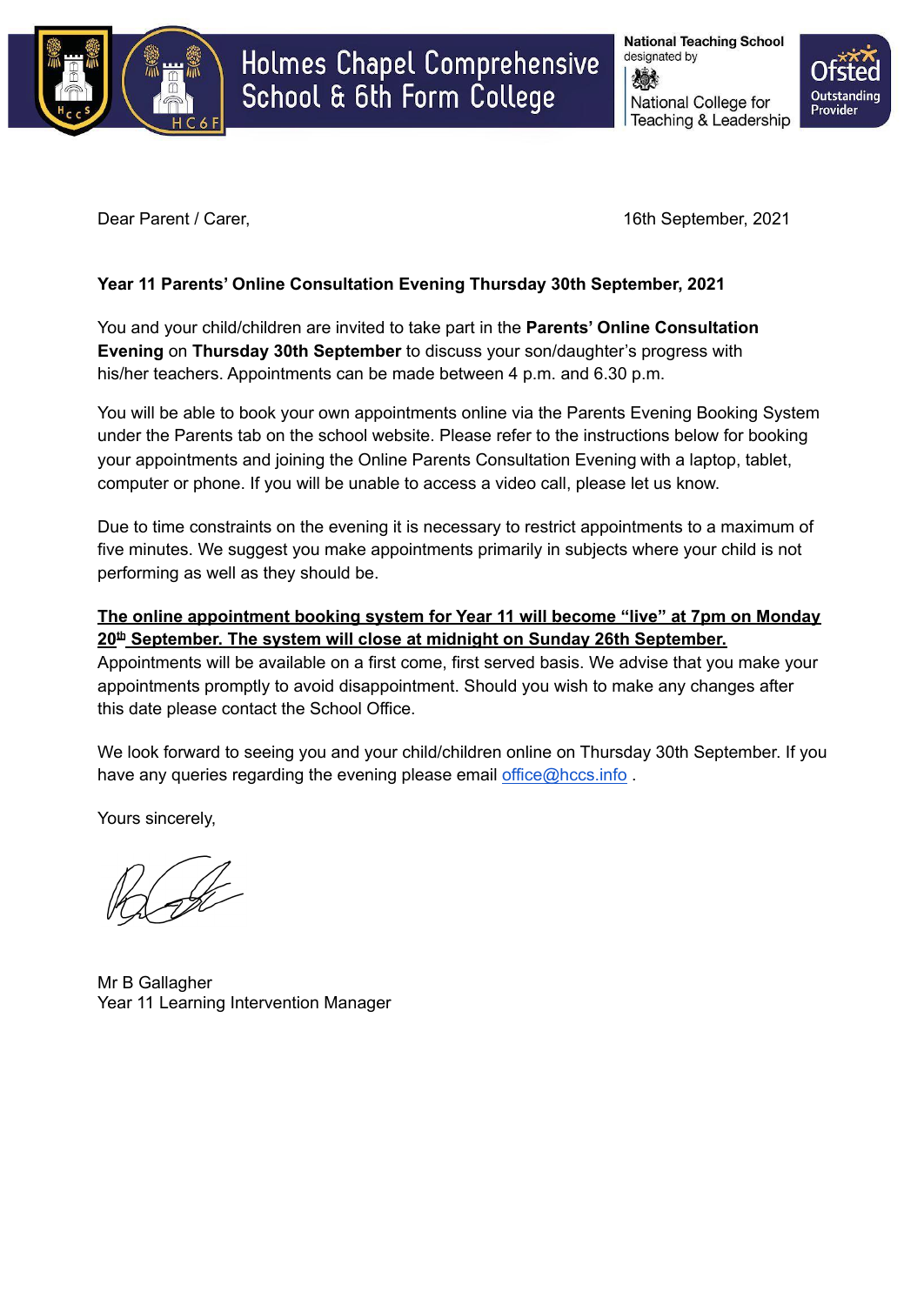

# Holmes Chapel Comprehensive School & 6th Form College

**National Teaching School** designated by National College for Teaching & Leadership



Dear Parent / Carer, 2021

## **Year 11 Parents' Online Consultation Evening Thursday 30th September, 2021**

You and your child/children are invited to take part in the **Parents' Online Consultation Evening** on **Thursday 30th September** to discuss your son/daughter's progress with his/her teachers. Appointments can be made between 4 p.m. and 6.30 p.m.

You will be able to book your own appointments online via the Parents Evening Booking System under the Parents tab on the school website. Please refer to the instructions below for booking your appointments and joining the Online Parents Consultation Evening with a laptop, tablet, computer or phone. If you will be unable to access a video call, please let us know.

Due to time constraints on the evening it is necessary to restrict appointments to a maximum of five minutes. We suggest you make appointments primarily in subjects where your child is not performing as well as they should be.

## **The online appointment booking system for Year 11 will become "live" at 7pm on Monday 20 th September. The system will close at midnight on Sunday 26th September.**

Appointments will be available on a first come, first served basis. We advise that you make your appointments promptly to avoid disappointment. Should you wish to make any changes after this date please contact the School Office.

We look forward to seeing you and your child/children online on Thursday 30th September. If you have any queries regarding the evening please email [office@hccs.info](mailto:office@hccs.info).

Yours sincerely,

Mr B Gallagher Year 11 Learning Intervention Manager